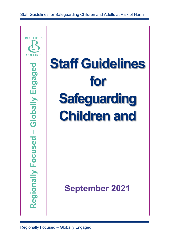Staff Guidelines for Safeguarding Children and Adults at Risk of Harm



# **Staff Guidelines for Safeguarding Children and**

**September 2021**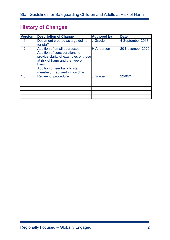# **History of Changes**

| <b>Version</b> | <b>Description of Change</b>                                                                                                                                                                                           | <b>Authored by</b> | <b>Date</b>      |
|----------------|------------------------------------------------------------------------------------------------------------------------------------------------------------------------------------------------------------------------|--------------------|------------------|
| 1.1            | Document created as a guideline<br>for staff                                                                                                                                                                           | J Gracie           | 4 September 2018 |
| 1.2            | Addition of email addresses.<br>Addition of considerations to<br>provide clarity of examples of those<br>at risk of harm and the type of<br>harm.<br>Addition of feedback to staff<br>member, if required in flowchart | <b>H</b> Anderson  | 20 November 2020 |
| 1.3            | Review of procedure                                                                                                                                                                                                    | J Gracie           | 22/9/21          |
|                |                                                                                                                                                                                                                        |                    |                  |
|                |                                                                                                                                                                                                                        |                    |                  |
|                |                                                                                                                                                                                                                        |                    |                  |
|                |                                                                                                                                                                                                                        |                    |                  |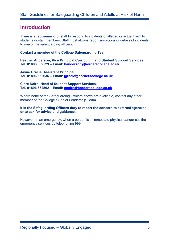# **Introduction**

There is a requirement for staff to respond to incidents of alleged or actual harm to students or staff members. Staff must always report suspicions or details of incidents to one of the safeguarding officers.

**Contact a member of the College Safeguarding Team:**

**Heather Anderson, Vice Principal Curriculum and Student Support Services, Tel. 01896 662529 – Email: [handerson@borderscollege.ac.uk](mailto:handerson@borderscollege.ac.uk)**

**Jayne Gracie, Assistant Principal, Tel. 01896 662636 – Email: [jgracie@borderscollege.ac.uk](mailto:jgracie@borderscollege.ac.uk)**

**Clare Nairn, Head of Student Support Services, Tel. 01896 662562 – Email: [cnairn@borderscollege.ac.uk](mailto:cnairn@borderscollege.ac.uk)**

Where none of the Safeguarding Officers above are available, contact any other member of the College's Senior Leadership Team.

#### **It is the Safeguarding Officers duty to report the concern to external agencies or to ask for advice and guidance.**

However, in an emergency, when a person is in immediate physical danger call the emergency services by telephoning 999.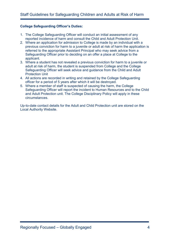#### **College Safeguarding Officer's Duties:**

- 1. The College Safeguarding Officer will conduct an initial assessment of any reported incidence of harm and consult the Child and Adult Protection Unit.
- 2. Where an application for admission to College is made by an individual with a previous conviction for harm to a juvenile or adult at risk of harm the application is referred to the appropriate Assistant Principal who may seek advice from a Safeguarding Officer prior to deciding on an offer a place at College to the applicant.
- 3. Where a student has not revealed a previous conviction for harm to a juvenile or adult at risk of harm, the student is suspended from College and the College Safeguarding Officer will seek advice and guidance from the Child and Adult Protection Unit
- 4. All actions are recorded in writing and retained by the College Safeguarding officer for a period of 5 years after which it will be destroyed.
- 5. Where a member of staff is suspected of causing the harm, the College Safeguarding Officer will report the incident to Human Resources and to the Child and Adult Protection unit. The College Disciplinary Policy will apply in these circumstances.

Up-to-date contact details for the Adult and Child Protection unit are stored on the Local Authority Website.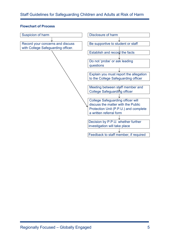#### **Flowchart of Process**

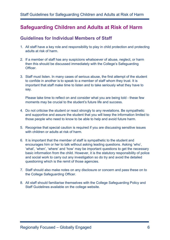# **Safeguarding Children and Adults at Risk of Harm**

### **Guidelines for Individual Members of Staff**

- 1. All staff have a key role and responsibility to play in child protection and protecting adults at risk of harm.
- 2. If a member of staff has any suspicions whatsoever of abuse, neglect, or harm then this should be discussed immediately with the College's Safeguarding **Officer**
- 3. Staff must listen. In many cases of serious abuse, the first attempt of the student to confide in another is to speak to a member of staff whom they trust. It is important that staff make time to listen and to take seriously what they have to say.

Please take time to reflect on and consider what you are being told - these few moments may be crucial to the student's future life and success.

- 4. Do not criticise the student or react strongly to any revelations. Be sympathetic and supportive and assure the student that you will keep the information limited to those people who need to know to be able to help and avoid future harm.
- 5. Recognise that special caution is required if you are discussing sensitive issues with children or adults at risk of harm.
- 6. It is important that the member of staff is sympathetic to the student and encourages him or her to talk without asking leading questions. Asking 'who', 'what', 'when', 'where' and 'how' may be important questions to get the necessary basic information from the child. However, it is the statutory responsibility of police and social work to carry out any investigation so do try and avoid the detailed questioning which is the remit of those agencies.
- 7. Staff should also make notes on any disclosure or concern and pass these on to the College Safeguarding Officer.
- 8. All staff should familiarise themselves with the College Safeguarding Policy and Staff Guidelines available on the college website.